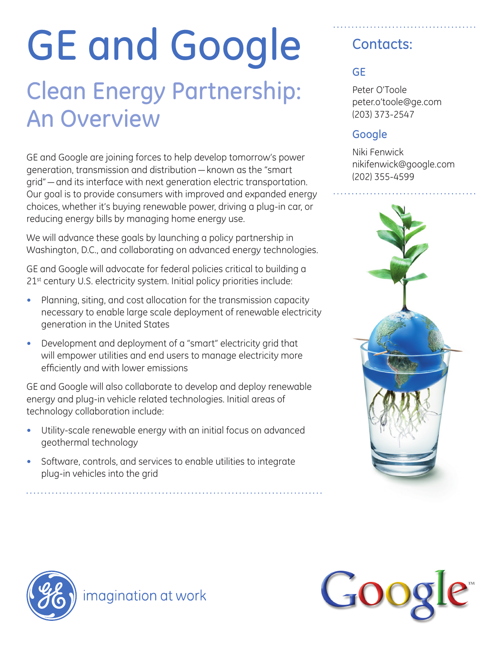# GE and Google

# Clean Energy Partnership: An Overview

GE and Google are joining forces to help develop tomorrow's power generation, transmission and distribution—known as the "smart grid"—and its interface with next generation electric transportation. Our goal is to provide consumers with improved and expanded energy choices, whether it's buying renewable power, driving a plug-in car, or reducing energy bills by managing home energy use.

We will advance these goals by launching a policy partnership in Washington, D.C., and collaborating on advanced energy technologies.

GE and Google will advocate for federal policies critical to building a 21<sup>st</sup> century U.S. electricity system. Initial policy priorities include:

- Planning, siting, and cost allocation for the transmission capacity necessary to enable large scale deployment of renewable electricity generation in the United States
- ~ Development and deployment of a "smart" electricity grid that will empower utilities and end users to manage electricity more efficiently and with lower emissions

GE and Google will also collaborate to develop and deploy renewable energy and plug-in vehicle related technologies. Initial areas of technology collaboration include:

- Utility-scale renewable energy with an initial focus on advanced geothermal technology
- Software, controls, and services to enable utilities to integrate plug-in vehicles into the grid

## Contacts:

### **GE**

Peter O'Toole peter.o'toole@ge.com (203) 373-2547

#### **Google**

Niki Fenwick nikifenwick@google.com (202) 355-4599